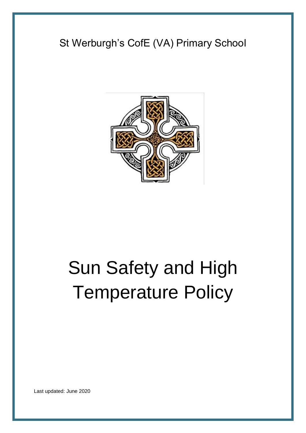# St Werburgh's CofE (VA) Primary School



# Sun Safety and High Temperature Policy

Last updated: June 2020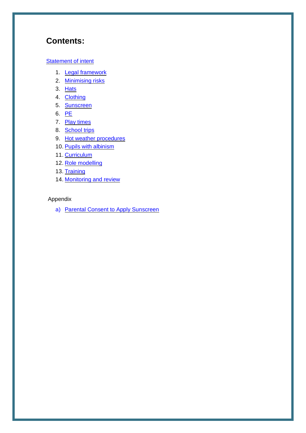## **Contents:**

#### **[Statement of intent](#page-2-0)**

- 1. [Legal framework](#page-3-0)
- 2. [Minimising risks](#page-3-1)
- 3. [Hats](#page-3-2)
- 4. [Clothing](#page-4-0)
- 5. [Sunscreen](#page-4-1)
- 6. [PE](#page-5-0)
- 7. [Play times](#page-5-1)
- 8. [School trips](#page-5-2)
- 9. [Hot weather procedures](#page-5-3)
- 10. [Pupils with albinism](#page-6-0)
- 11. [Curriculum](#page-6-1)
- 12. [Role modelling](#page-6-2)
- 13. [Training](#page-7-0)
- 14. [Monitoring and review](#page-7-1)

#### Appendix

a) [Parental Consent to Apply Sunscreen](#page-8-0)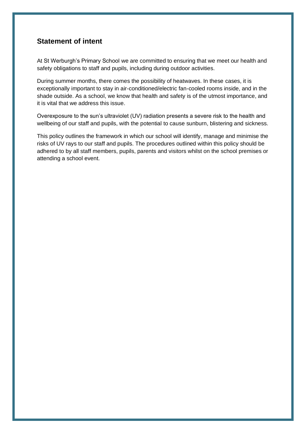#### <span id="page-2-0"></span>**Statement of intent**

At St Werburgh's Primary School we are committed to ensuring that we meet our health and safety obligations to staff and pupils, including during outdoor activities.

During summer months, there comes the possibility of heatwaves. In these cases, it is exceptionally important to stay in air-conditioned/electric fan-cooled rooms inside, and in the shade outside. As a school, we know that health and safety is of the utmost importance, and it is vital that we address this issue.

Overexposure to the sun's ultraviolet (UV) radiation presents a severe risk to the health and wellbeing of our staff and pupils, with the potential to cause sunburn, blistering and sickness.

This policy outlines the framework in which our school will identify, manage and minimise the risks of UV rays to our staff and pupils. The procedures outlined within this policy should be adhered to by all staff members, pupils, parents and visitors whilst on the school premises or attending a school event.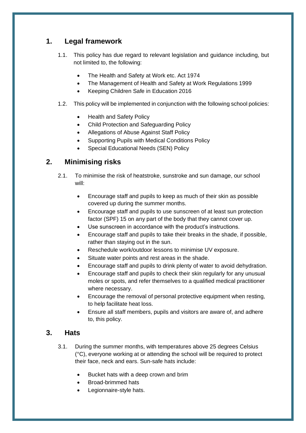#### <span id="page-3-0"></span>**1. Legal framework**

- 1.1. This policy has due regard to relevant legislation and guidance including, but not limited to, the following:
	- The Health and Safety at Work etc. Act 1974
	- The Management of Health and Safety at Work Regulations 1999
	- Keeping Children Safe in Education 2016
- 1.2. This policy will be implemented in conjunction with the following school policies:
	- Health and Safety Policy
	- Child Protection and Safeguarding Policy
	- Allegations of Abuse Against Staff Policy
	- Supporting Pupils with Medical Conditions Policy
	- Special Educational Needs (SEN) Policy

#### <span id="page-3-1"></span>**2. Minimising risks**

- 2.1. To minimise the risk of heatstroke, sunstroke and sun damage, our school will:
	- Encourage staff and pupils to keep as much of their skin as possible covered up during the summer months.
	- Encourage staff and pupils to use sunscreen of at least sun protection factor (SPF) 15 on any part of the body that they cannot cover up.
	- Use sunscreen in accordance with the product's instructions.
	- Encourage staff and pupils to take their breaks in the shade, if possible, rather than staying out in the sun.
	- Reschedule work/outdoor lessons to minimise UV exposure.
	- Situate water points and rest areas in the shade.
	- Encourage staff and pupils to drink plenty of water to avoid dehydration.
	- Encourage staff and pupils to check their skin regularly for any unusual moles or spots, and refer themselves to a qualified medical practitioner where necessary.
	- Encourage the removal of personal protective equipment when resting, to help facilitate heat loss.
	- Ensure all staff members, pupils and visitors are aware of, and adhere to, this policy.

#### <span id="page-3-2"></span>**3. Hats**

- 3.1. During the summer months, with temperatures above 25 degrees Celsius (°C), everyone working at or attending the school will be required to protect their face, neck and ears. Sun-safe hats include:
	- Bucket hats with a deep crown and brim
	- Broad-brimmed hats
	- Legionnaire-style hats.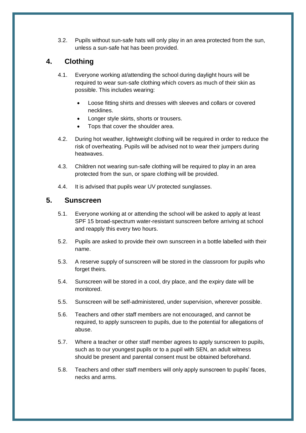3.2. Pupils without sun-safe hats will only play in an area protected from the sun, unless a sun-safe hat has been provided.

#### <span id="page-4-0"></span>**4. Clothing**

- 4.1. Everyone working at/attending the school during daylight hours will be required to wear sun-safe clothing which covers as much of their skin as possible. This includes wearing:
	- Loose fitting shirts and dresses with sleeves and collars or covered necklines.
	- Longer style skirts, shorts or trousers.
	- Tops that cover the shoulder area.
- 4.2. During hot weather, lightweight clothing will be required in order to reduce the risk of overheating. Pupils will be advised not to wear their jumpers during heatwaves.
- 4.3. Children not wearing sun-safe clothing will be required to play in an area protected from the sun, or spare clothing will be provided.
- 4.4. It is advised that pupils wear UV protected sunglasses.

#### <span id="page-4-1"></span>**5. Sunscreen**

- 5.1. Everyone working at or attending the school will be asked to apply at least SPF 15 broad-spectrum water-resistant sunscreen before arriving at school and reapply this every two hours.
- 5.2. Pupils are asked to provide their own sunscreen in a bottle labelled with their name.
- 5.3. A reserve supply of sunscreen will be stored in the classroom for pupils who forget theirs.
- 5.4. Sunscreen will be stored in a cool, dry place, and the expiry date will be monitored.
- 5.5. Sunscreen will be self-administered, under supervision, wherever possible.
- 5.6. Teachers and other staff members are not encouraged, and cannot be required, to apply sunscreen to pupils, due to the potential for allegations of abuse.
- 5.7. Where a teacher or other staff member agrees to apply sunscreen to pupils, such as to our youngest pupils or to a pupil with SEN, an adult witness should be present and parental consent must be obtained beforehand.
- 5.8. Teachers and other staff members will only apply sunscreen to pupils' faces, necks and arms.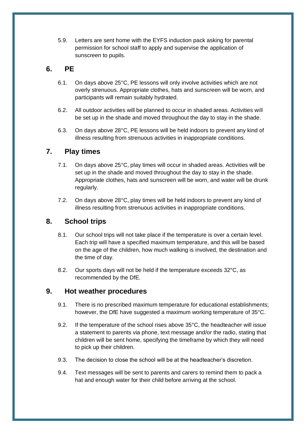5.9. Letters are sent home with the EYFS induction pack asking for parental permission for school staff to apply and supervise the application of sunscreen to pupils.

#### <span id="page-5-0"></span>**6. PE**

- 6.1. On days above 25°C, PE lessons will only involve activities which are not overly strenuous. Appropriate clothes, hats and sunscreen will be worn, and participants will remain suitably hydrated.
- 6.2. All outdoor activities will be planned to occur in shaded areas. Activities will be set up in the shade and moved throughout the day to stay in the shade.
- 6.3. On days above 28°C, PE lessons will be held indoors to prevent any kind of illness resulting from strenuous activities in inappropriate conditions.

#### <span id="page-5-1"></span>**7. Play times**

- 7.1. On days above 25°C, play times will occur in shaded areas. Activities will be set up in the shade and moved throughout the day to stay in the shade. Appropriate clothes, hats and sunscreen will be worn, and water will be drunk regularly.
- 7.2. On days above 28°C, play times will be held indoors to prevent any kind of illness resulting from strenuous activities in inappropriate conditions.

#### <span id="page-5-2"></span>**8. School trips**

- 8.1. Our school trips will not take place if the temperature is over a certain level. Each trip will have a specified maximum temperature, and this will be based on the age of the children, how much walking is involved, the destination and the time of day.
- 8.2. Our sports days will not be held if the temperature exceeds 32°C, as recommended by the DfE.

#### <span id="page-5-3"></span>**9. Hot weather procedures**

- 9.1. There is no prescribed maximum temperature for educational establishments; however, the DfE have suggested a maximum working temperature of 35°C.
- 9.2. If the temperature of the school rises above 35°C, the headteacher will issue a statement to parents via phone, text message and/or the radio, stating that children will be sent home, specifying the timeframe by which they will need to pick up their children.
- 9.3. The decision to close the school will be at the headteacher's discretion.
- 9.4. Text messages will be sent to parents and carers to remind them to pack a hat and enough water for their child before arriving at the school.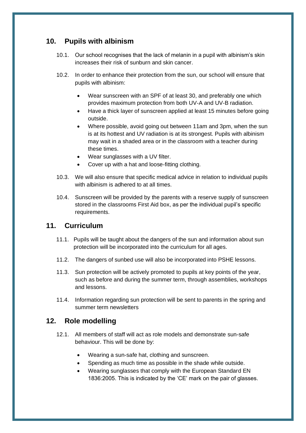#### <span id="page-6-0"></span>**10. Pupils with albinism**

- 10.1. Our school recognises that the lack of melanin in a pupil with albinism's skin increases their risk of sunburn and skin cancer.
- 10.2. In order to enhance their protection from the sun, our school will ensure that pupils with albinism:
	- Wear sunscreen with an SPF of at least 30, and preferably one which provides maximum protection from both UV-A and UV-B radiation.
	- Have a thick layer of sunscreen applied at least 15 minutes before going outside.
	- Where possible, avoid going out between 11am and 3pm, when the sun is at its hottest and UV radiation is at its strongest. Pupils with albinism may wait in a shaded area or in the classroom with a teacher during these times.
	- Wear sunglasses with a UV filter.
	- Cover up with a hat and loose-fitting clothing.
- 10.3. We will also ensure that specific medical advice in relation to individual pupils with albinism is adhered to at all times.
- 10.4. Sunscreen will be provided by the parents with a reserve supply of sunscreen stored in the classrooms First Aid box, as per the individual pupil's specific requirements.

#### <span id="page-6-1"></span>**11. Curriculum**

- 11.1. Pupils will be taught about the dangers of the sun and information about sun protection will be incorporated into the curriculum for all ages.
- 11.2. The dangers of sunbed use will also be incorporated into PSHE lessons.
- 11.3. Sun protection will be actively promoted to pupils at key points of the year, such as before and during the summer term, through assemblies, workshops and lessons.
- 11.4. Information regarding sun protection will be sent to parents in the spring and summer term newsletters

#### <span id="page-6-2"></span>**12. Role modelling**

- 12.1. All members of staff will act as role models and demonstrate sun-safe behaviour. This will be done by:
	- Wearing a sun-safe hat, clothing and sunscreen.
	- Spending as much time as possible in the shade while outside.
	- Wearing sunglasses that comply with the European Standard EN 1836:2005. This is indicated by the 'CE' mark on the pair of glasses.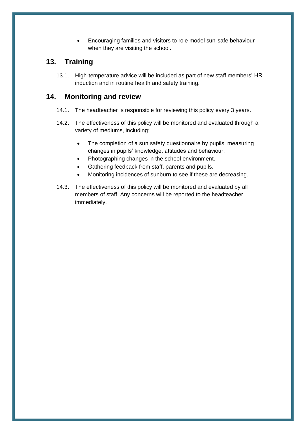• Encouraging families and visitors to role model sun-safe behaviour when they are visiting the school.

#### <span id="page-7-0"></span>**13. Training**

13.1. High-temperature advice will be included as part of new staff members' HR induction and in routine health and safety training.

#### <span id="page-7-1"></span>**14. Monitoring and review**

- 14.1. The headteacher is responsible for reviewing this policy every 3 years.
- 14.2. The effectiveness of this policy will be monitored and evaluated through a variety of mediums, including:
	- The completion of a sun safety questionnaire by pupils, measuring changes in pupils' knowledge, attitudes and behaviour.
	- Photographing changes in the school environment.
	- Gathering feedback from staff, parents and pupils.
	- Monitoring incidences of sunburn to see if these are decreasing.
- 14.3. The effectiveness of this policy will be monitored and evaluated by all members of staff. Any concerns will be reported to the headteacher immediately.